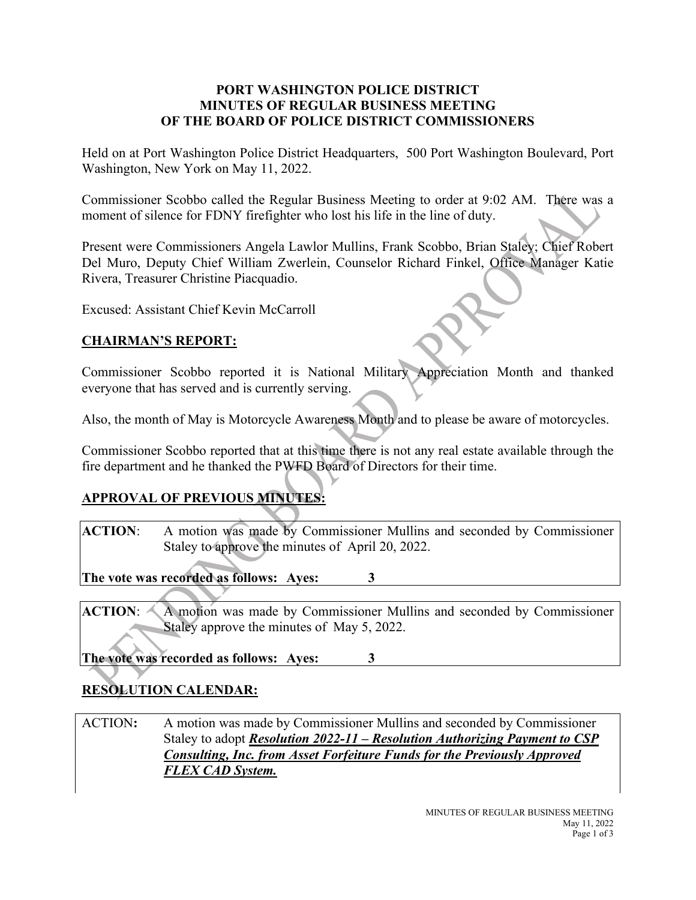#### **PORT WASHINGTON POLICE DISTRICT MINUTES OF REGULAR BUSINESS MEETING OF THE BOARD OF POLICE DISTRICT COMMISSIONERS**

Held on at Port Washington Police District Headquarters, 500 Port Washington Boulevard, Port Washington, New York on May 11, 2022.

Commissioner Scobbo called the Regular Business Meeting to order at 9:02 AM. There was a moment of silence for FDNY firefighter who lost his life in the line of duty.

Present were Commissioners Angela Lawlor Mullins, Frank Scobbo, Brian Staley; Chief Robert Del Muro, Deputy Chief William Zwerlein, Counselor Richard Finkel, Office Manager Katie Rivera, Treasurer Christine Piacquadio.

Excused: Assistant Chief Kevin McCarroll

#### **CHAIRMAN'S REPORT:**

Commissioner Scobbo reported it is National Military Appreciation Month and thanked everyone that has served and is currently serving.

Also, the month of May is Motorcycle Awareness Month and to please be aware of motorcycles.

Commissioner Scobbo reported that at this time there is not any real estate available through the fire department and he thanked the PWFD Board of Directors for their time.

# **APPROVAL OF PREVIOUS MINUTES:**

**ACTION**: A motion was made by Commissioner Mullins and seconded by Commissioner Staley to approve the minutes of April 20, 2022.

**The vote was recorded as follows: Ayes: 3**

**ACTION**: A motion was made by Commissioner Mullins and seconded by Commissioner Staley approve the minutes of May 5, 2022.

**The vote was recorded as follows: Ayes: 3**

# **RESOLUTION CALENDAR:**

ACTION**:** A motion was made by Commissioner Mullins and seconded by Commissioner Staley to adopt *Resolution 2022-11 – Resolution Authorizing Payment to CSP Consulting, Inc. from Asset Forfeiture Funds for the Previously Approved FLEX CAD System.*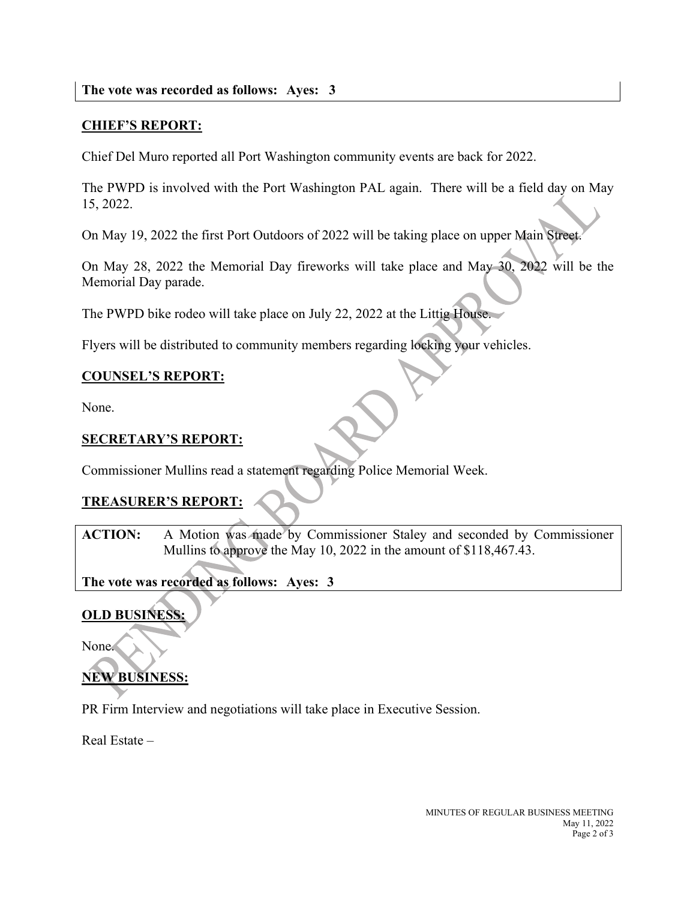### **CHIEF'S REPORT:**

Chief Del Muro reported all Port Washington community events are back for 2022.

The PWPD is involved with the Port Washington PAL again. There will be a field day on May 15, 2022.

On May 19, 2022 the first Port Outdoors of 2022 will be taking place on upper Main Street.

On May 28, 2022 the Memorial Day fireworks will take place and May 30, 2022 will be the Memorial Day parade.

The PWPD bike rodeo will take place on July 22, 2022 at the Littig House.

Flyers will be distributed to community members regarding locking your vehicles.

#### **COUNSEL'S REPORT:**

None.

#### **SECRETARY'S REPORT:**

Commissioner Mullins read a statement regarding Police Memorial Week.

#### **TREASURER'S REPORT:**

ACTION: A Motion was made by Commissioner Staley and seconded by Commissioner Mullins to approve the May 10, 2022 in the amount of \$118,467.43.

#### **The vote was recorded as follows: Ayes: 3**

#### **OLD BUSINESS:**

None.

# **NEW BUSINESS:**

PR Firm Interview and negotiations will take place in Executive Session.

Real Estate –